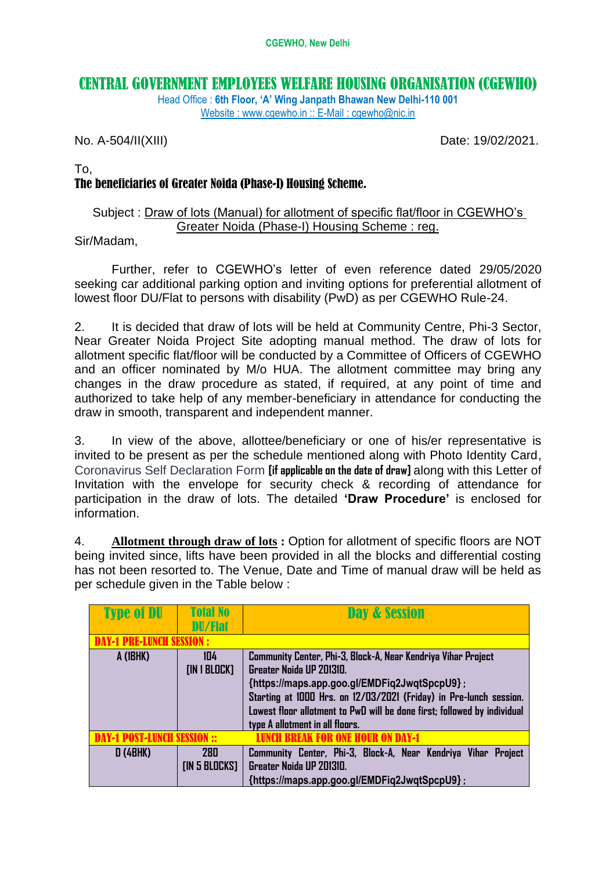# CENTRAL GOVERNMENT EMPLOYEES WELFARE HOUSING ORGANISATION (CGEWHO)

Head Office : **6th Floor, 'A' Wing Janpath Bhawan New Delhi-110 001** Website : www.cgewho.in :: E-Mail : cgewho@nic.in

No. A-504/II(XIII) 2002/2021.

To,

## The beneficiaries of Greater Noida (Phase-I) Housing Scheme.

## Subject : Draw of lots (Manual) for allotment of specific flat/floor in CGEWHO's Greater Noida (Phase-I) Housing Scheme : reg.

### Sir/Madam,

Further, refer to CGEWHO's letter of even reference dated 29/05/2020 seeking car additional parking option and inviting options for preferential allotment of lowest floor DU/Flat to persons with disability (PwD) as per CGEWHO Rule-24.

2. It is decided that draw of lots will be held at Community Centre, Phi-3 Sector, Near Greater Noida Project Site adopting manual method. The draw of lots for allotment specific flat/floor will be conducted by a Committee of Officers of CGEWHO and an officer nominated by M/o HUA. The allotment committee may bring any changes in the draw procedure as stated, if required, at any point of time and authorized to take help of any member-beneficiary in attendance for conducting the draw in smooth, transparent and independent manner.

3. In view of the above, allottee/beneficiary or one of his/er representative is invited to be present as per the schedule mentioned along with Photo Identity Card, Coronavirus Self Declaration Form **[if applicable on the date of draw]** along with this Letter of Invitation with the envelope for security check & recording of attendance for participation in the draw of lots. The detailed **'Draw Procedure'** is enclosed for information.

4. **Allotment through draw of lots :** Option for allotment of specific floors are NOT being invited since, lifts have been provided in all the blocks and differential costing has not been resorted to. The Venue, Date and Time of manual draw will be held as per schedule given in the Table below :

| <b>Type of DU</b>    | <b>Total No</b> | Day & Session                                                            |
|----------------------|-----------------|--------------------------------------------------------------------------|
|                      | <b>DU/Flat</b>  |                                                                          |
|                      | INCH SESSION :  |                                                                          |
| A (1BHK)             | 104             | Community Center, Phi-3, Block-A, Near Kendriya Vihar Project            |
|                      | [IN 1 BLOCK]    | Greater Noida UP 201310.                                                 |
|                      |                 | {https://maps.app.goo.gl/EMDFiq2JwqtSpcpU9};                             |
|                      |                 | Starting at 1000 Hrs. on 12/03/2021 (Friday) in Pre-lunch session.       |
|                      |                 | Lowest floor allotment to PwD will be done first; followed by individual |
|                      |                 | type A allotment in all floors.                                          |
| DAST.I IINAH SESSIAN |                 | ICH RREAK FOR ONE HOIIR ON DAY-1                                         |
| <b>D (4BHK)</b>      | 280             | Community Center, Phi-3, Block-A, Near Kendriya Vihar Project            |
|                      | [IN 5 BLOCKS]   | Greater Noida UP 201310.                                                 |
|                      |                 | {https://maps.app.goo.gl/EMDFiq2JwqtSpcpU9};                             |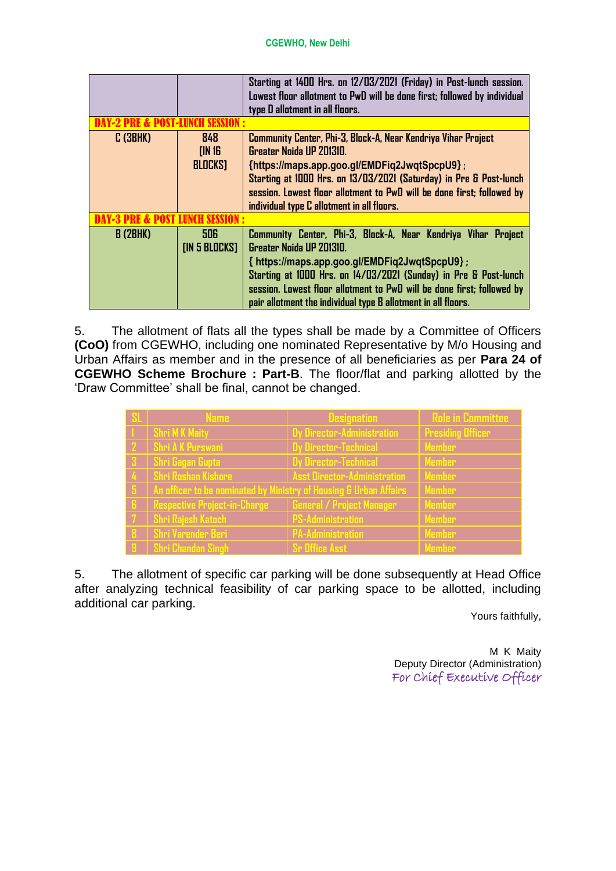#### **CGEWHO, New Delhi**

|          |                                 | Starting at 1400 Hrs. on 12/03/2021 (Friday) in Post-lunch session.<br>Lowest floor allotment to PwD will be done first; followed by individual<br>type D allotment in all floors.                                                                                                                                                                        |  |
|----------|---------------------------------|-----------------------------------------------------------------------------------------------------------------------------------------------------------------------------------------------------------------------------------------------------------------------------------------------------------------------------------------------------------|--|
|          |                                 |                                                                                                                                                                                                                                                                                                                                                           |  |
| C(3BHK)  | 848<br>[IN16]<br><b>BLOCKS]</b> | Community Center, Phi-3, Block-A, Near Kendriya Vihar Project<br>Greater Noida UP 201310.<br>{https://maps.app.goo.gl/EMDFiq2JwqtSpcpU9};<br>Starting at 1000 Hrs. on 13/03/2021 (Saturday) in Pre & Post-lunch                                                                                                                                           |  |
|          |                                 | session. Lowest floor allotment to PwD will be done first; followed by<br>individual type C allotment in all floors.                                                                                                                                                                                                                                      |  |
|          |                                 |                                                                                                                                                                                                                                                                                                                                                           |  |
| B (2BHK) | 506<br>[IN 5  BLOCKS]           | Community Center, Phi-3, Block-A, Near Kendriya Vihar Project<br>Greater Noida UP 201310.<br>{ https://maps.app.goo.gl/EMDFiq2JwqtSpcpU9};<br>Starting at 1000 Hrs. on 14/03/2021 (Sunday) in Pre & Post-lunch<br>session. Lowest floor allotment to PwD will be done first; followed by<br>pair allotment the individual type B allotment in all floors. |  |

5. The allotment of flats all the types shall be made by a Committee of Officers **(CoO)** from CGEWHO, including one nominated Representative by M/o Housing and Urban Affairs as member and in the presence of all beneficiaries as per **Para 24 of CGEWHO Scheme Brochure : Part-B**. The floor/flat and parking allotted by the 'Draw Committee' shall be final, cannot be changed.

| Name                                                              | <b>Designation</b>                  | <b>Role in Committee</b> |
|-------------------------------------------------------------------|-------------------------------------|--------------------------|
| <b>Shri MK Maity</b>                                              | <b>Dy Director-Administration</b>   | <b>Presiding Officer</b> |
| <b>Shri A K Purswani</b>                                          | Dy Director-Technical               | <b>Member</b>            |
| Shri Gagan Gupta                                                  | <b>Dy Director-Technical</b>        | <b>Member</b>            |
| Shri Roshan Kishore                                               | <b>Asst Director-Administration</b> | <b>Member</b>            |
| An officer to be nominated by Ministry of Housing & Urban Affairs |                                     | <b>Member</b>            |
| <b>Respective Project-in-Charge</b>                               | <b>General / Project Manager</b>    | <b>Member</b>            |
| Shri Rajesh Katoch                                                | <b>PS-Administration</b>            | <b>Member</b>            |
| Shri Varender Beri                                                | <b>PA-Administration</b>            | <b>Member</b>            |
| <b>Shri Chandan Singh</b>                                         | <b>Sr Office Asst</b>               | Member                   |

5. The allotment of specific car parking will be done subsequently at Head Office after analyzing technical feasibility of car parking space to be allotted, including additional car parking.

Yours faithfully,

M K Maity Deputy Director (Administration) For Chief Executive Officer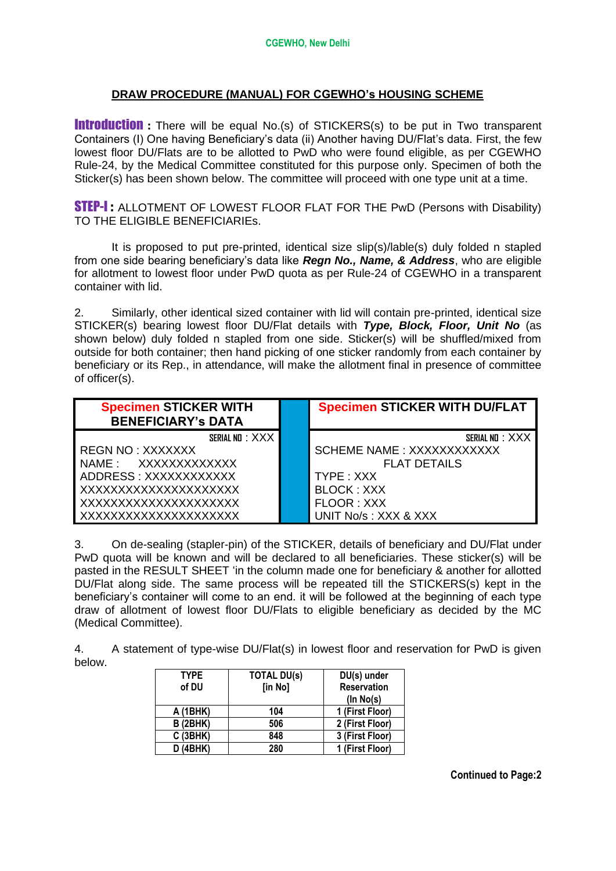### **DRAW PROCEDURE (MANUAL) FOR CGEWHO's HOUSING SCHEME**

**Introduction** : There will be equal No.(s) of STICKERS(s) to be put in Two transparent Containers (I) One having Beneficiary's data (ii) Another having DU/Flat's data. First, the few lowest floor DU/Flats are to be allotted to PwD who were found eligible, as per CGEWHO Rule-24, by the Medical Committee constituted for this purpose only. Specimen of both the Sticker(s) has been shown below. The committee will proceed with one type unit at a time.

**STEP-I:** ALLOTMENT OF LOWEST FLOOR FLAT FOR THE PwD (Persons with Disability) TO THE ELIGIBLE BENEFICIARIEs.

It is proposed to put pre-printed, identical size slip(s)/lable(s) duly folded n stapled from one side bearing beneficiary's data like *Regn No., Name, & Address*, who are eligible for allotment to lowest floor under PwD quota as per Rule-24 of CGEWHO in a transparent container with lid.

2. Similarly, other identical sized container with lid will contain pre-printed, identical size STICKER(s) bearing lowest floor DU/Flat details with *Type, Block, Floor, Unit No* (as shown below) duly folded n stapled from one side. Sticker(s) will be shuffled/mixed from outside for both container; then hand picking of one sticker randomly from each container by beneficiary or its Rep., in attendance, will make the allotment final in presence of committee of officer(s).

| <b>Specimen STICKER WITH</b><br><b>BENEFICIARY's DATA</b> | <b>Specimen STICKER WITH DU/FLAT</b> |
|-----------------------------------------------------------|--------------------------------------|
|                                                           |                                      |
| SERIAL ND : XXX                                           | SERIAL ND : XXX                      |
| REGN NO: XXXXXXX                                          | <b>SCHEME NAME: XXXXXXXXXXXX</b>     |
| NAME: XXXXXXXXXXXX                                        | <b>FLAT DETAILS</b>                  |
| ADDRESS: XXXXXXXXXXXX                                     | TYPE: XXX                            |
| XXXXXXXXXXXXXXXXXXXX                                      | <b>BLOCK: XXX</b>                    |
| XXXXXXXXXXXXXXXXXXXX                                      | FLOOR: XXX                           |
| XXXXXXXXXXXXXXXXXXXX                                      | UNIT No/s: XXX & XXX                 |

3. On de-sealing (stapler-pin) of the STICKER, details of beneficiary and DU/Flat under PwD quota will be known and will be declared to all beneficiaries. These sticker(s) will be pasted in the RESULT SHEET 'in the column made one for beneficiary & another for allotted DU/Flat along side. The same process will be repeated till the STICKERS(s) kept in the beneficiary's container will come to an end. it will be followed at the beginning of each type draw of allotment of lowest floor DU/Flats to eligible beneficiary as decided by the MC (Medical Committee).

4. A statement of type-wise DU/Flat(s) in lowest floor and reservation for PwD is given below.

| <b>TYPE</b>     | <b>TOTAL DU(s)</b> | DU(s) under        |
|-----------------|--------------------|--------------------|
| of DU           | [in No]            | <b>Reservation</b> |
|                 |                    | (ln No(s))         |
| A (1BHK)        | 104                | 1 (First Floor)    |
| <b>B</b> (2BHK) | 506                | 2 (First Floor)    |
| C(3BHK)         | 848                | 3 (First Floor)    |
| (4BHK)          | 280                | 1 (First Floor)    |

**Continued to Page:2**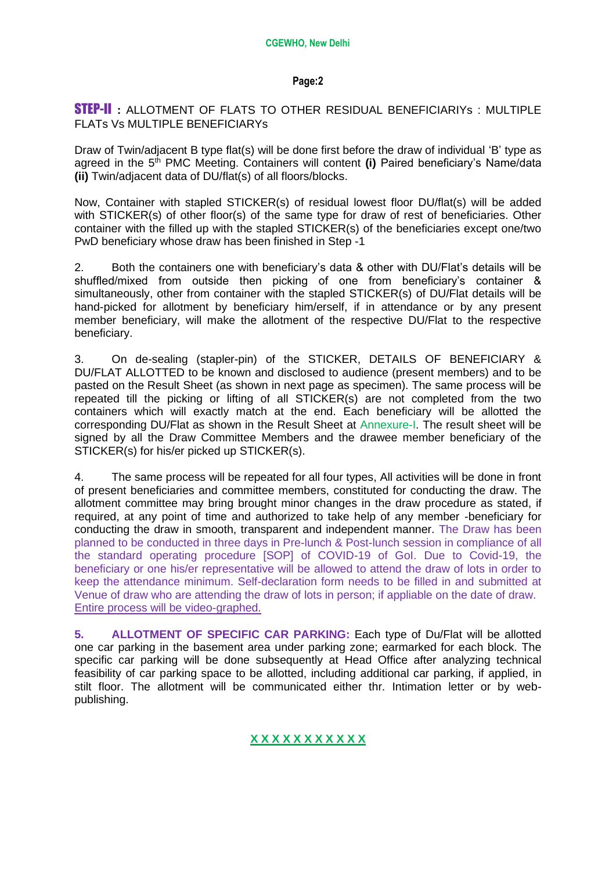#### **Page:2**

### STEP-II **:** ALLOTMENT OF FLATS TO OTHER RESIDUAL BENEFICIARIYs : MULTIPLE FLATs Vs MULTIPLE BENEFICIARYs

Draw of Twin/adjacent B type flat(s) will be done first before the draw of individual 'B' type as agreed in the 5<sup>th</sup> PMC Meeting. Containers will content (i) Paired beneficiary's Name/data **(ii)** Twin/adjacent data of DU/flat(s) of all floors/blocks.

Now, Container with stapled STICKER(s) of residual lowest floor DU/flat(s) will be added with STICKER(s) of other floor(s) of the same type for draw of rest of beneficiaries. Other container with the filled up with the stapled STICKER(s) of the beneficiaries except one/two PwD beneficiary whose draw has been finished in Step -1

2. Both the containers one with beneficiary's data & other with DU/Flat's details will be shuffled/mixed from outside then picking of one from beneficiary's container & simultaneously, other from container with the stapled STICKER(s) of DU/Flat details will be hand-picked for allotment by beneficiary him/erself, if in attendance or by any present member beneficiary, will make the allotment of the respective DU/Flat to the respective beneficiary.

3. On de-sealing (stapler-pin) of the STICKER, DETAILS OF BENEFICIARY & DU/FLAT ALLOTTED to be known and disclosed to audience (present members) and to be pasted on the Result Sheet (as shown in next page as specimen). The same process will be repeated till the picking or lifting of all STICKER(s) are not completed from the two containers which will exactly match at the end. Each beneficiary will be allotted the corresponding DU/Flat as shown in the Result Sheet at Annexure-I. The result sheet will be signed by all the Draw Committee Members and the drawee member beneficiary of the STICKER(s) for his/er picked up STICKER(s).

4. The same process will be repeated for all four types, All activities will be done in front of present beneficiaries and committee members, constituted for conducting the draw. The allotment committee may bring brought minor changes in the draw procedure as stated, if required, at any point of time and authorized to take help of any member -beneficiary for conducting the draw in smooth, transparent and independent manner. The Draw has been planned to be conducted in three days in Pre-lunch & Post-lunch session in compliance of all the standard operating procedure [SOP] of COVID-19 of GoI. Due to Covid-19, the beneficiary or one his/er representative will be allowed to attend the draw of lots in order to keep the attendance minimum. Self-declaration form needs to be filled in and submitted at Venue of draw who are attending the draw of lots in person; if appliable on the date of draw. Entire process will be video-graphed.

**5. ALLOTMENT OF SPECIFIC CAR PARKING:** Each type of Du/Flat will be allotted one car parking in the basement area under parking zone; earmarked for each block. The specific car parking will be done subsequently at Head Office after analyzing technical feasibility of car parking space to be allotted, including additional car parking, if applied, in stilt floor. The allotment will be communicated either thr. Intimation letter or by webpublishing.

#### **X X X X X X X X X X X**